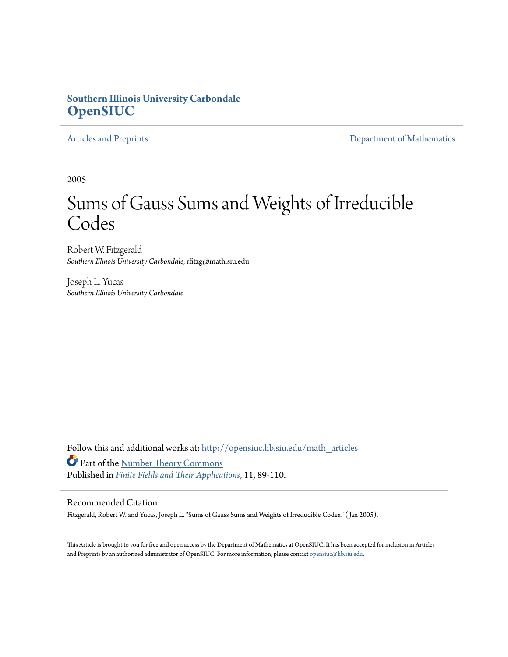## **Southern Illinois University Carbondale [OpenSIUC](http://opensiuc.lib.siu.edu?utm_source=opensiuc.lib.siu.edu%2Fmath_articles%2F25&utm_medium=PDF&utm_campaign=PDFCoverPages)**

[Articles and Preprints](http://opensiuc.lib.siu.edu/math_articles?utm_source=opensiuc.lib.siu.edu%2Fmath_articles%2F25&utm_medium=PDF&utm_campaign=PDFCoverPages) **[Department of Mathematics](http://opensiuc.lib.siu.edu/math?utm_source=opensiuc.lib.siu.edu%2Fmath_articles%2F25&utm_medium=PDF&utm_campaign=PDFCoverPages)** 

2005

# Sums of Gauss Sums and Weights of Irreducible Codes

Robert W. Fitzgerald *Southern Illinois University Carbondale*, rfitzg@math.siu.edu

Joseph L. Yucas *Southern Illinois University Carbondale*

Follow this and additional works at: [http://opensiuc.lib.siu.edu/math\\_articles](http://opensiuc.lib.siu.edu/math_articles?utm_source=opensiuc.lib.siu.edu%2Fmath_articles%2F25&utm_medium=PDF&utm_campaign=PDFCoverPages) Part of the [Number Theory Commons](http://network.bepress.com/hgg/discipline/183?utm_source=opensiuc.lib.siu.edu%2Fmath_articles%2F25&utm_medium=PDF&utm_campaign=PDFCoverPages) Published in *[Finite Fields and Their Applications](http://www.elsevier.com/wps/find/journaldescription.cws_home/622831/description#description)*, 11, 89-110.

#### Recommended Citation

Fitzgerald, Robert W. and Yucas, Joseph L. "Sums of Gauss Sums and Weights of Irreducible Codes." ( Jan 2005).

This Article is brought to you for free and open access by the Department of Mathematics at OpenSIUC. It has been accepted for inclusion in Articles and Preprints by an authorized administrator of OpenSIUC. For more information, please contact [opensiuc@lib.siu.edu](mailto:opensiuc@lib.siu.edu).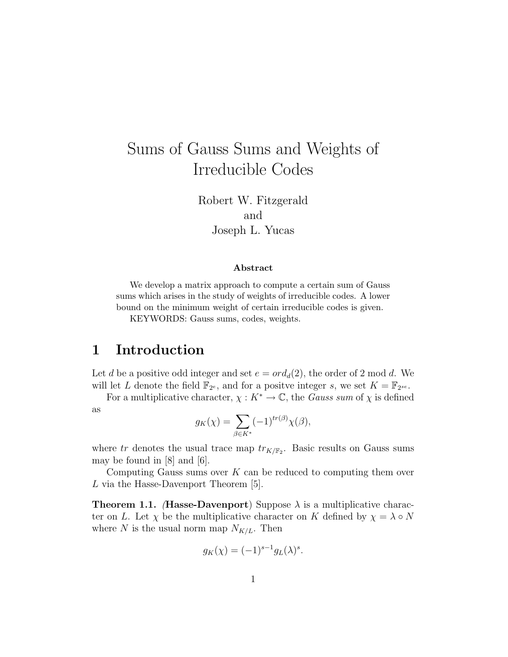# Sums of Gauss Sums and Weights of Irreducible Codes

Robert W. Fitzgerald and Joseph L. Yucas

#### Abstract

We develop a matrix approach to compute a certain sum of Gauss sums which arises in the study of weights of irreducible codes. A lower bound on the minimum weight of certain irreducible codes is given.

KEYWORDS: Gauss sums, codes, weights.

# 1 Introduction

Let d be a positive odd integer and set  $e = ord_d(2)$ , the order of 2 mod d. We will let L denote the field  $\mathbb{F}_{2^e}$ , and for a positve integer s, we set  $K = \mathbb{F}_{2^{se}}$ .

For a multiplicative character,  $\chi: K^* \to \mathbb{C}$ , the *Gauss sum* of  $\chi$  is defined as

$$
g_K(\chi) = \sum_{\beta \in K^*} (-1)^{tr(\beta)} \chi(\beta),
$$

where tr denotes the usual trace map  $tr_{K/\mathbb{F}_2}$ . Basic results on Gauss sums may be found in [8] and [6].

Computing Gauss sums over  $K$  can be reduced to computing them over L via the Hasse-Davenport Theorem [5].

**Theorem 1.1.** (Hasse-Davenport) Suppose  $\lambda$  is a multiplicative character on L. Let  $\chi$  be the multiplicative character on K defined by  $\chi = \lambda \circ N$ where N is the usual norm map  $N_{K/L}$ . Then

$$
g_K(\chi) = (-1)^{s-1} g_L(\lambda)^s.
$$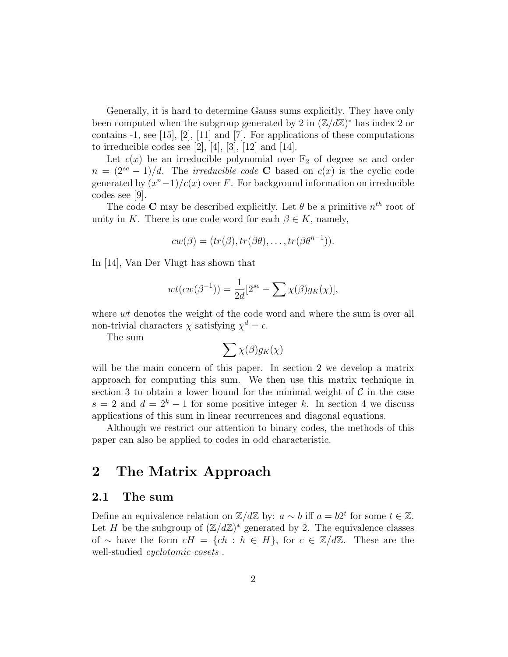Generally, it is hard to determine Gauss sums explicitly. They have only been computed when the subgroup generated by 2 in  $(\mathbb{Z}/d\mathbb{Z})^*$  has index 2 or contains -1, see [15], [2], [11] and [7]. For applications of these computations to irreducible codes see  $[2]$ ,  $[4]$ ,  $[3]$ ,  $[12]$  and  $[14]$ .

Let  $c(x)$  be an irreducible polynomial over  $\mathbb{F}_2$  of degree se and order  $n = (2^{se} - 1)/d$ . The *irreducible code* C based on  $c(x)$  is the cyclic code generated by  $(x^{n}-1)/c(x)$  over F. For background information on irreducible codes see [9].

The code **C** may be described explicitly. Let  $\theta$  be a primitive  $n^{th}$  root of unity in K. There is one code word for each  $\beta \in K$ , namely,

$$
cw(\beta) = (tr(\beta), tr(\beta\theta), \dots, tr(\beta\theta^{n-1})).
$$

In [14], Van Der Vlugt has shown that

$$
wt(cw(\beta^{-1})) = \frac{1}{2d}[2^{se} - \sum \chi(\beta)g_K(\chi)],
$$

where  $wt$  denotes the weight of the code word and where the sum is over all non-trivial characters  $\chi$  satisfying  $\chi^d = \epsilon$ .

The sum

$$
\sum \chi(\beta) g_K(\chi)
$$

will be the main concern of this paper. In section 2 we develop a matrix approach for computing this sum. We then use this matrix technique in section 3 to obtain a lower bound for the minimal weight of  $\mathcal C$  in the case  $s = 2$  and  $d = 2<sup>k</sup> - 1$  for some positive integer k. In section 4 we discuss applications of this sum in linear recurrences and diagonal equations.

Although we restrict our attention to binary codes, the methods of this paper can also be applied to codes in odd characteristic.

# 2 The Matrix Approach

## 2.1 The sum

Define an equivalence relation on  $\mathbb{Z}/d\mathbb{Z}$  by:  $a \sim b$  iff  $a = b2^t$  for some  $t \in \mathbb{Z}$ . Let H be the subgroup of  $(\mathbb{Z}/d\mathbb{Z})^*$  generated by 2. The equivalence classes of ∼ have the form  $cH = \{ch : h \in H\}$ , for  $c \in \mathbb{Z}/d\mathbb{Z}$ . These are the well-studied *cyclotomic cosets*.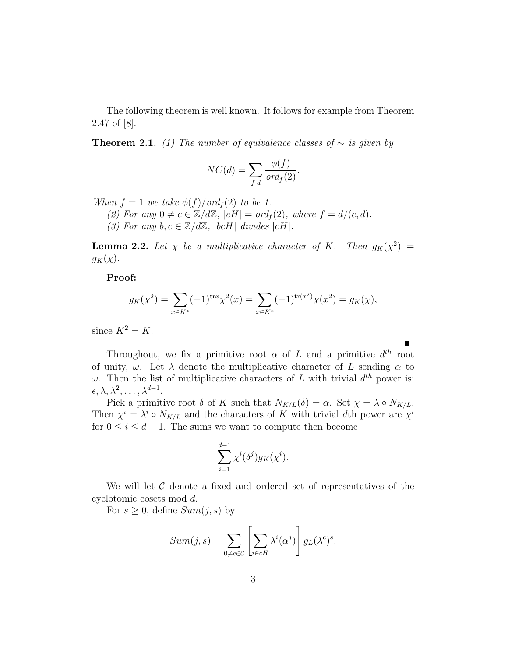The following theorem is well known. It follows for example from Theorem 2.47 of [8].

**Theorem 2.1.** (1) The number of equivalence classes of  $\sim$  is given by

$$
NC(d) = \sum_{f|d} \frac{\phi(f)}{ord_f(2)}.
$$

When  $f = 1$  we take  $\phi(f)/\text{ord}_f(2)$  to be 1.

(2) For any  $0 \neq c \in \mathbb{Z}/d\mathbb{Z}$ ,  $|cH| = ord_f(2)$ , where  $f = d/(c, d)$ .

(3) For any  $b, c \in \mathbb{Z}/d\mathbb{Z}$ ,  $|bcH|$  divides  $|cH|$ .

**Lemma 2.2.** Let  $\chi$  be a multiplicative character of K. Then  $g_K(\chi^2)$  =  $g_K(\chi)$ .

Proof:

$$
g_K(\chi^2) = \sum_{x \in K^*} (-1)^{\text{tr}x} \chi^2(x) = \sum_{x \in K^*} (-1)^{\text{tr}(x^2)} \chi(x^2) = g_K(\chi),
$$

since  $K^2 = K$ .

Throughout, we fix a primitive root  $\alpha$  of L and a primitive  $d^{th}$  root of unity,  $\omega$ . Let  $\lambda$  denote the multiplicative character of L sending  $\alpha$  to  $\omega$ . Then the list of multiplicative characters of L with trivial  $d^{th}$  power is:  $\epsilon, \lambda, \lambda^2, \ldots, \lambda^{d-1}.$ 

Pick a primitive root  $\delta$  of K such that  $N_{K/L}(\delta) = \alpha$ . Set  $\chi = \lambda \circ N_{K/L}$ . Then  $\chi^i = \lambda^i \circ N_{K/L}$  and the characters of K with trivial dth power are  $\chi^i$ for  $0 \leq i \leq d-1$ . The sums we want to compute then become

$$
\sum_{i=1}^{d-1} \chi^i(\delta^j) g_K(\chi^i).
$$

We will let  $\mathcal C$  denote a fixed and ordered set of representatives of the cyclotomic cosets mod d.

For  $s \geq 0$ , define  $Sum(j, s)$  by

$$
Sum(j, s) = \sum_{0 \neq c \in C} \left[ \sum_{i \in cH} \lambda^{i}(\alpha^{j}) \right] g_{L}(\lambda^{c})^{s}.
$$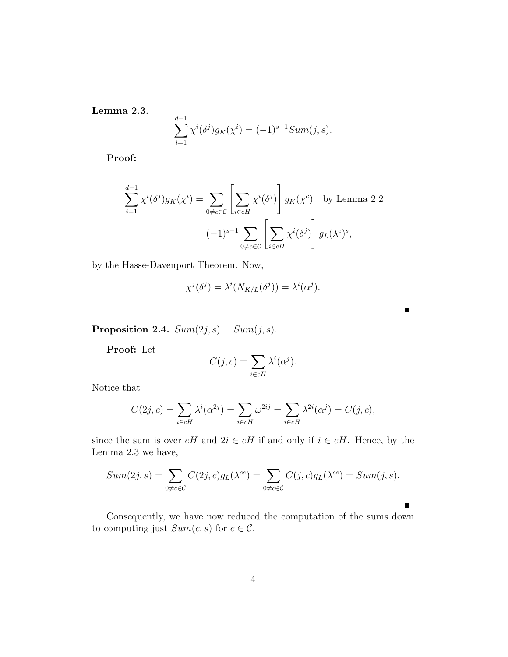Lemma 2.3.

$$
\sum_{i=1}^{d-1} \chi^i(\delta^j) g_K(\chi^i) = (-1)^{s-1} Sum(j, s).
$$

Proof:

$$
\sum_{i=1}^{d-1} \chi^i(\delta^j) g_K(\chi^i) = \sum_{0 \neq c \in \mathcal{C}} \left[ \sum_{i \in cH} \chi^i(\delta^j) \right] g_K(\chi^c) \text{ by Lemma 2.2}
$$

$$
= (-1)^{s-1} \sum_{0 \neq c \in \mathcal{C}} \left[ \sum_{i \in cH} \chi^i(\delta^j) \right] g_L(\lambda^c)^s,
$$

by the Hasse-Davenport Theorem. Now,

$$
\chi^{j}(\delta^{j}) = \lambda^{i}(N_{K/L}(\delta^{j})) = \lambda^{i}(\alpha^{j}).
$$

 $\blacksquare$ 

Proposition 2.4.  $Sum(2j, s) = Sum(j, s)$ .

Proof: Let

$$
C(j, c) = \sum_{i \in cH} \lambda^{i}(\alpha^{j}).
$$

Notice that

$$
C(2j, c) = \sum_{i \in cH} \lambda^{i}(\alpha^{2j}) = \sum_{i \in cH} \omega^{2ij} = \sum_{i \in cH} \lambda^{2i}(\alpha^{j}) = C(j, c),
$$

since the sum is over  $cH$  and  $2i \in cH$  if and only if  $i \in cH$ . Hence, by the Lemma 2.3 we have,

$$
Sum(2j, s) = \sum_{0 \neq c \in C} C(2j, c)g_L(\lambda^{cs}) = \sum_{0 \neq c \in C} C(j, c)g_L(\lambda^{cs}) = Sum(j, s).
$$

Consequently, we have now reduced the computation of the sums down to computing just  $Sum(c, s)$  for  $c \in \mathcal{C}$ .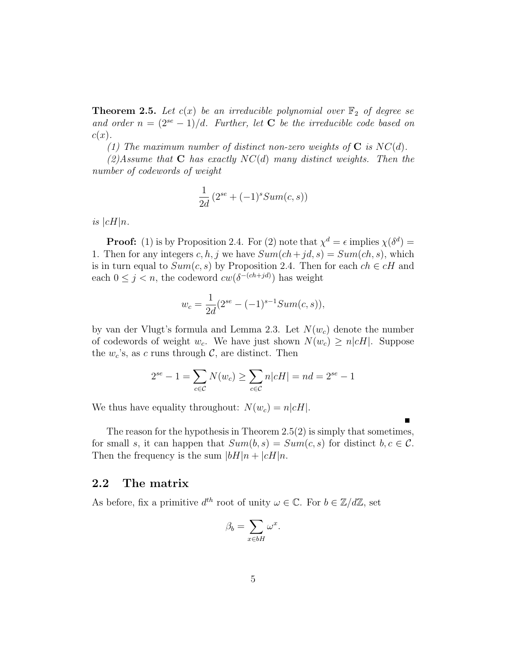**Theorem 2.5.** Let  $c(x)$  be an irreducible polynomial over  $\mathbb{F}_2$  of degree se and order  $n = (2^{se} - 1)/d$ . Further, let **C** be the irreducible code based on  $c(x)$ .

(1) The maximum number of distinct non-zero weights of  $C$  is  $NC(d)$ .

 $(2)$ Assume that **C** has exactly  $NC(d)$  many distinct weights. Then the number of codewords of weight

$$
\frac{1}{2d}\left(2^{se} + (-1)^s Sum(c, s)\right)
$$

is  $|cH|n$ .

**Proof:** (1) is by Proposition 2.4. For (2) note that  $\chi^d = \epsilon$  implies  $\chi(\delta^d)$  = 1. Then for any integers c, h, j we have  $Sum(ch+jd, s) = Sum(ch, s)$ , which is in turn equal to  $Sum(c, s)$  by Proposition 2.4. Then for each  $ch \in cH$  and each  $0 \leq j \leq n$ , the codeword  $cw(\delta^{-(ch+jd)})$  has weight

$$
w_c = \frac{1}{2d}(2^{se} - (-1)^{s-1}Sum(c, s)),
$$

by van der Vlugt's formula and Lemma 2.3. Let  $N(w_c)$  denote the number of codewords of weight  $w_c$ . We have just shown  $N(w_c) \ge n | cH |$ . Suppose the  $w_c$ 's, as c runs through  $C$ , are distinct. Then

$$
2^{se} - 1 = \sum_{c \in C} N(w_c) \ge \sum_{c \in C} n|cH| = nd = 2^{se} - 1
$$

We thus have equality throughout:  $N(w_c) = n|cH|$ .

The reason for the hypothesis in Theorem 2.5(2) is simply that sometimes, for small s, it can happen that  $Sum(b, s) = Sum(c, s)$  for distinct  $b, c \in \mathcal{C}$ . Then the frequency is the sum  $|bH|n + |cH|n$ .

### 2.2 The matrix

As before, fix a primitive  $d^{th}$  root of unity  $\omega \in \mathbb{C}$ . For  $b \in \mathbb{Z}/d\mathbb{Z}$ , set

$$
\beta_b = \sum_{x \in bH} \omega^x.
$$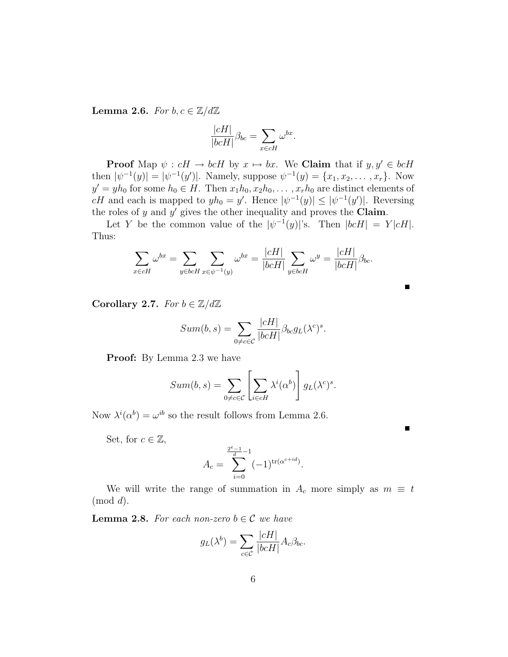**Lemma 2.6.** For  $b, c \in \mathbb{Z}/d\mathbb{Z}$ 

$$
\frac{|cH|}{|bcH|}\beta_{bc} = \sum_{x \in cH} \omega^{bx}.
$$

**Proof** Map  $\psi : cH \to bcH$  by  $x \mapsto bx$ . We **Claim** that if  $y, y' \in bcH$ then  $|\psi^{-1}(y)| = |\psi^{-1}(y')|$ . Namely, suppose  $\psi^{-1}(y) = \{x_1, x_2, \dots, x_r\}$ . Now  $y' = yh_0$  for some  $h_0 \in H$ . Then  $x_1h_0, x_2h_0, \ldots, x_rh_0$  are distinct elements of cH and each is mapped to  $yh_0 = y'$ . Hence  $|\psi^{-1}(y)| \leq |\psi^{-1}(y')|$ . Reversing the roles of y and  $y'$  gives the other inequality and proves the Claim.

Let Y be the common value of the  $|\psi^{-1}(y)|$ 's. Then  $|bcH| = Y|cH|$ . Thus:

$$
\sum_{x \in cH} \omega^{bx} = \sum_{y \in bcH} \sum_{x \in \psi^{-1}(y)} \omega^{bx} = \frac{|cH|}{|bcH|} \sum_{y \in bcH} \omega^y = \frac{|cH|}{|bcH|} \beta_{bc}.
$$

Corollary 2.7. For  $b \in \mathbb{Z}/d\mathbb{Z}$ 

$$
Sum(b, s) = \sum_{0 \neq c \in C} \frac{|cH|}{|bcH|} \beta_{bc} g_L(\lambda^c)^s.
$$

Proof: By Lemma 2.3 we have

$$
Sum(b, s) = \sum_{0 \neq c \in C} \left[ \sum_{i \in cH} \lambda^{i}(\alpha^{b}) \right] g_{L}(\lambda^{c})^{s}.
$$

Now  $\lambda^{i}(\alpha^{b}) = \omega^{ib}$  so the result follows from Lemma 2.6.

Set, for  $c \in \mathbb{Z}$ ,

$$
A_c = \sum_{i=0}^{\frac{2^e-1}{d}-1} (-1)^{\text{tr}(\alpha^{c+id})}.
$$

 $\blacksquare$ 

We will write the range of summation in  $A_c$  more simply as  $m \equiv t$  $(mod d).$ 

**Lemma 2.8.** For each non-zero  $b \in \mathcal{C}$  we have

$$
g_L(\lambda^b) = \sum_{c \in \mathcal{C}} \frac{|cH|}{|bcH|} A_c \beta_{bc}.
$$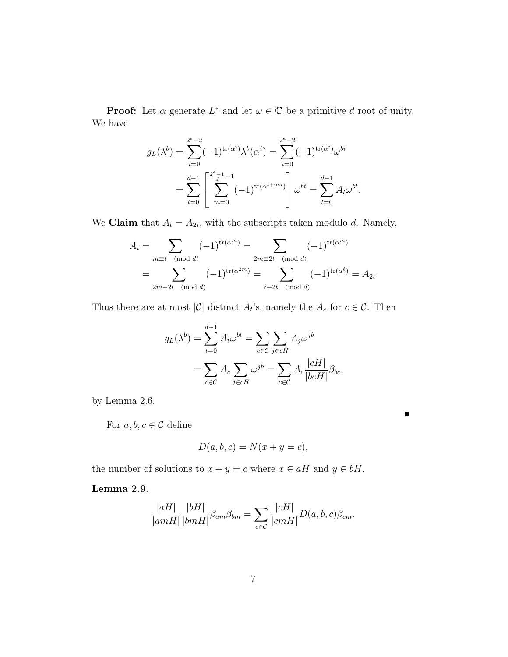**Proof:** Let  $\alpha$  generate  $L^*$  and let  $\omega \in \mathbb{C}$  be a primitive d root of unity. We have

$$
g_L(\lambda^b) = \sum_{i=0}^{2^e-2} (-1)^{\text{tr}(\alpha^i)} \lambda^b(\alpha^i) = \sum_{i=0}^{2^e-2} (-1)^{\text{tr}(\alpha^i)} \omega^{bi}
$$
  
= 
$$
\sum_{t=0}^{d-1} \left[ \sum_{m=0}^{2^e-1} (-1)^{\text{tr}(\alpha^{t+md})} \right] \omega^{bt} = \sum_{t=0}^{d-1} A_t \omega^{bt}.
$$

We **Claim** that  $A_t = A_{2t}$ , with the subscripts taken modulo d. Namely,

$$
A_t = \sum_{m \equiv t \pmod{d}} (-1)^{\text{tr}(\alpha^m)} = \sum_{2m \equiv 2t \pmod{d}} (-1)^{\text{tr}(\alpha^m)}
$$
  
= 
$$
\sum_{2m \equiv 2t \pmod{d}} (-1)^{\text{tr}(\alpha^{2m})} = \sum_{\ell \equiv 2t \pmod{d}} (-1)^{\text{tr}(\alpha^{\ell})} = A_{2t}.
$$

Thus there are at most  $|\mathcal{C}|$  distinct  $A_t$ 's, namely the  $A_c$  for  $c \in \mathcal{C}$ . Then

$$
g_L(\lambda^b) = \sum_{t=0}^{d-1} A_t \omega^{bt} = \sum_{c \in \mathcal{C}} \sum_{j \in cH} A_j \omega^{jb}
$$
  
= 
$$
\sum_{c \in \mathcal{C}} A_c \sum_{j \in cH} \omega^{jb} = \sum_{c \in \mathcal{C}} A_c \frac{|cH|}{|bcH|} \beta_{bc},
$$

by Lemma 2.6.

For  $a, b, c \in \mathcal{C}$  define

$$
D(a, b, c) = N(x + y = c),
$$

 $\blacksquare$ 

the number of solutions to  $x + y = c$  where  $x \in aH$  and  $y \in bH$ .

## Lemma 2.9.

$$
\frac{|aH|}{|amH|} \frac{|bH|}{|bmH|} \beta_{am} \beta_{bm} = \sum_{c \in \mathcal{C}} \frac{|cH|}{|cmH|} D(a, b, c) \beta_{cm}.
$$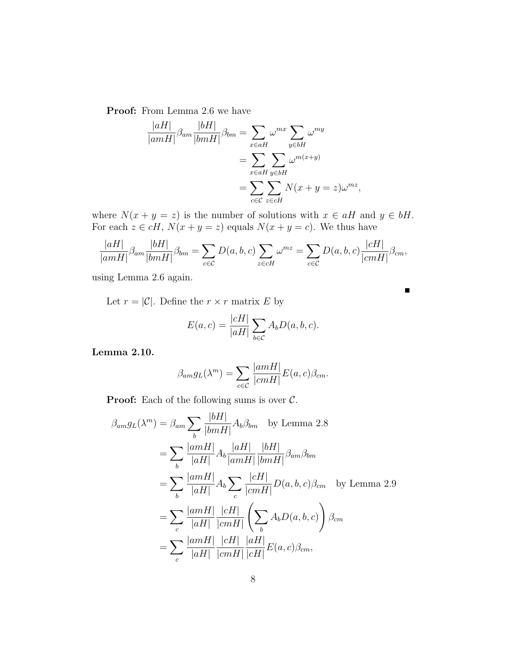Proof: From Lemma 2.6 we have

$$
\frac{|aH|}{|amH|} \beta_{am} \frac{|bH|}{|bmH|} \beta_{bm} = \sum_{x \in aH} \omega^{mx} \sum_{y \in bH} \omega^{my}
$$

$$
= \sum_{x \in aH} \sum_{y \in bH} \omega^{m(x+y)}
$$

$$
= \sum_{c \in \mathcal{C}} \sum_{z \in cH} N(x+y=z) \omega^{mz},
$$

where  $N(x + y = z)$  is the number of solutions with  $x \in aH$  and  $y \in bH$ . For each  $z \in cH$ ,  $N(x + y = z)$  equals  $N(x + y = c)$ . We thus have

$$
\frac{|aH|}{|amH|}\beta_{am}\frac{|bH|}{|bmH|}\beta_{bm} = \sum_{c \in \mathcal{C}} D(a,b,c) \sum_{z \in cH} \omega^{mz} = \sum_{c \in \mathcal{C}} D(a,b,c) \frac{|cH|}{|cmH|}\beta_{cm},
$$

using Lemma 2.6 again.

Let  $r = |\mathcal{C}|$ . Define the  $r \times r$  matrix E by

$$
E(a,c) = \frac{|cH|}{|aH|} \sum_{b \in C} A_b D(a,b,c).
$$

Lemma 2.10.

$$
\beta_{am} g_L(\lambda^m) = \sum_{c \in \mathcal{C}} \frac{|amH|}{|cmH|} E(a, c) \beta_{cm}.
$$

**Proof:** Each of the following sums is over  $C$ .

$$
\beta_{am} g_L(\lambda^m) = \beta_{am} \sum_b \frac{|bH|}{|bmH|} A_b \beta_{bm} \quad \text{by Lemma 2.8}
$$
  
\n
$$
= \sum_b \frac{|amH|}{|aH|} A_b \frac{|aH|}{|amH|} \frac{|bH|}{|bmH|} \beta_{am} \beta_{bm}
$$
  
\n
$$
= \sum_b \frac{|amH|}{|aH|} A_b \sum_c \frac{|cH|}{|cmH|} D(a, b, c) \beta_{cm} \quad \text{by Lemma 2.9}
$$
  
\n
$$
= \sum_c \frac{|amH|}{|aH|} \frac{|cH|}{|cmH|} \left( \sum_b A_b D(a, b, c) \right) \beta_{cm}
$$
  
\n
$$
= \sum_c \frac{|amH|}{|aH|} \frac{|cH|}{|cmH|} \frac{|aH|}{|cH|} E(a, c) \beta_{cm},
$$

 $\blacksquare$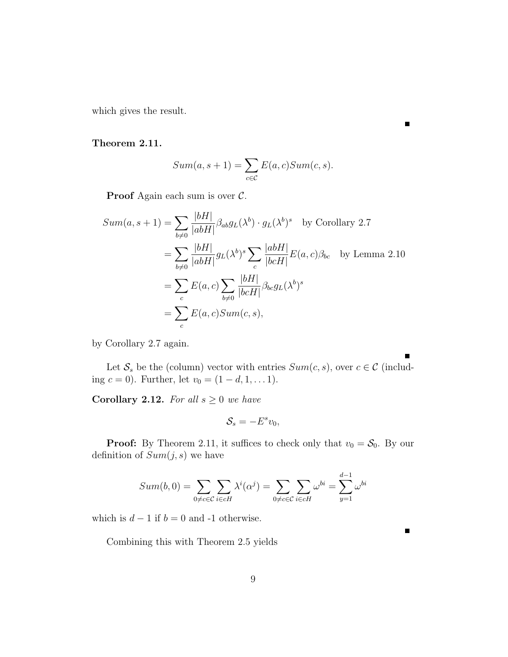which gives the result.

#### Theorem 2.11.

$$
Sum(a, s + 1) = \sum_{c \in C} E(a, c) Sum(c, s).
$$

**Proof** Again each sum is over  $\mathcal{C}$ .

$$
Sum(a, s+1) = \sum_{b \neq 0} \frac{|bH|}{|abH|} \beta_{ab} g_L(\lambda^b) \cdot g_L(\lambda^b)^s \quad \text{by Corollary 2.7}
$$
  
= 
$$
\sum_{b \neq 0} \frac{|bH|}{|abH|} g_L(\lambda^b)^s \sum_c \frac{|abH|}{|bcH|} E(a, c) \beta_{bc} \quad \text{by Lemma 2.10}
$$
  
= 
$$
\sum_c E(a, c) \sum_{b \neq 0} \frac{|bH|}{|bcH|} \beta_{bc} g_L(\lambda^b)^s
$$
  
= 
$$
\sum_c E(a, c) Sum(c, s),
$$

by Corollary 2.7 again.

Let  $S_s$  be the (column) vector with entries  $Sum(c, s)$ , over  $c \in \mathcal{C}$  (including  $c = 0$ ). Further, let  $v_0 = (1 - d, 1, \dots 1)$ .

Corollary 2.12. For all  $s \geq 0$  we have

$$
\mathcal{S}_s = -E^s v_0,
$$

**Proof:** By Theorem 2.11, it suffices to check only that  $v_0 = S_0$ . By our definition of  $Sum(j, s)$  we have

$$
Sum(b, 0) = \sum_{0 \neq c \in C} \sum_{i \in cH} \lambda^{i}(\alpha^{j}) = \sum_{0 \neq c \in C} \sum_{i \in cH} \omega^{bi} = \sum_{y=1}^{d-1} \omega^{bi}
$$

which is  $d-1$  if  $b=0$  and -1 otherwise.

Combining this with Theorem 2.5 yields

 $\blacksquare$ 

 $\blacksquare$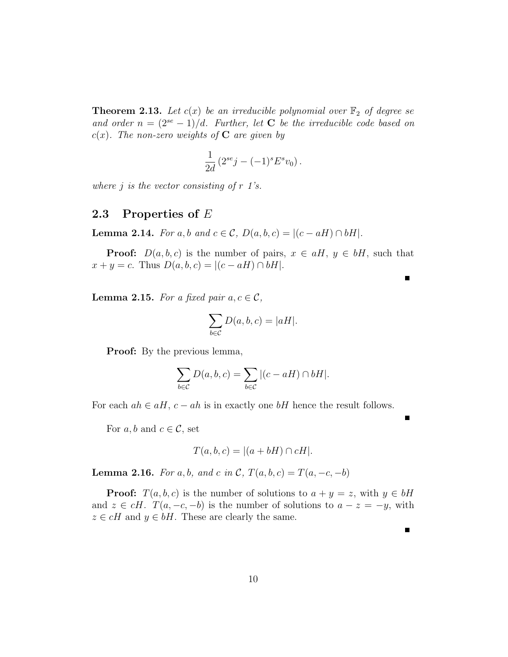**Theorem 2.13.** Let  $c(x)$  be an irreducible polynomial over  $\mathbb{F}_2$  of degree se and order  $n = (2^{se} - 1)/d$ . Further, let **C** be the irreducible code based on  $c(x)$ . The non-zero weights of C are given by

$$
\frac{1}{2d} (2^{se}j - (-1)^s E^s v_0).
$$

where  $j$  is the vector consisting of  $r$  1's.

### 2.3 Properties of E

**Lemma 2.14.** For a, b and  $c \in \mathcal{C}$ ,  $D(a, b, c) = |(c - aH) \cap bH|$ .

**Proof:**  $D(a, b, c)$  is the number of pairs,  $x \in aH$ ,  $y \in bH$ , such that  $x + y = c$ . Thus  $D(a, b, c) = |(c - aH) \cap bH|$ .

**Lemma 2.15.** For a fixed pair  $a, c \in \mathcal{C}$ ,

$$
\sum_{b \in \mathcal{C}} D(a, b, c) = |aH|.
$$

**Proof:** By the previous lemma,

$$
\sum_{b \in \mathcal{C}} D(a, b, c) = \sum_{b \in \mathcal{C}} |(c - aH) \cap bH|.
$$

For each  $ah \in aH$ ,  $c - ah$  is in exactly one bH hence the result follows.

For  $a, b$  and  $c \in \mathcal{C}$ , set

$$
T(a, b, c) = |(a + bH) \cap cH|.
$$

**Lemma 2.16.** For a, b, and c in C,  $T(a, b, c) = T(a, -c, -b)$ 

**Proof:**  $T(a, b, c)$  is the number of solutions to  $a + y = z$ , with  $y \in bH$ and  $z \in cH$ .  $T(a, -c, -b)$  is the number of solutions to  $a - z = -y$ , with  $z \in cH$  and  $y \in bH$ . These are clearly the same.

г

 $\blacksquare$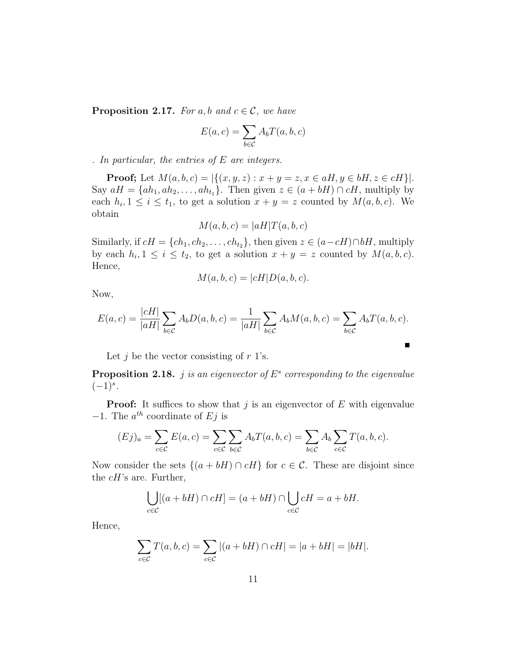**Proposition 2.17.** For a, b and  $c \in \mathcal{C}$ , we have

$$
E(a, c) = \sum_{b \in \mathcal{C}} A_b T(a, b, c)
$$

. In particular, the entries of  $E$  are integers.

**Proof;** Let  $M(a, b, c) = |\{(x, y, z) : x + y = z, x \in aH, y \in bH, z \in cH\}|$ . Say  $aH = \{ah_1, ah_2, \ldots, ah_{t_1}\}.$  Then given  $z \in (a + bH) \cap cH$ , multiply by each  $h_i, 1 \leq i \leq t_1$ , to get a solution  $x + y = z$  counted by  $M(a, b, c)$ . We obtain

$$
M(a, b, c) = |aH|T(a, b, c)
$$

Similarly, if  $cH = \{ch_1, ch_2, \ldots, ch_{t_2}\}\$ , then given  $z \in (a - cH) \cap bH$ , multiply by each  $h_i, 1 \leq i \leq t_2$ , to get a solution  $x + y = z$  counted by  $M(a, b, c)$ . Hence,

$$
M(a, b, c) = |cH| D(a, b, c).
$$

Now,

$$
E(a,c)=\frac{|cH|}{|aH|}\sum_{b\in\mathcal{C}}A_bD(a,b,c)=\frac{1}{|aH|}\sum_{b\in\mathcal{C}}A_bM(a,b,c)=\sum_{b\in\mathcal{C}}A_bT(a,b,c).
$$

 $\blacksquare$ 

Let  $j$  be the vector consisting of  $r$  1's.

**Proposition 2.18.** *j* is an eigenvector of  $E^s$  corresponding to the eigenvalue  $(-1)^s$ .

**Proof:** It suffices to show that j is an eigenvector of  $E$  with eigenvalue  $-1$ . The  $a^{th}$  coordinate of Ej is

$$
(Ej)_a = \sum_{c \in \mathcal{C}} E(a,c) = \sum_{c \in \mathcal{C}} \sum_{b \in \mathcal{C}} A_b T(a,b,c) = \sum_{b \in \mathcal{C}} A_b \sum_{c \in \mathcal{C}} T(a,b,c).
$$

Now consider the sets  $\{(a + bH) \cap cH\}$  for  $c \in \mathcal{C}$ . These are disjoint since the  $cH$ 's are. Further,

$$
\bigcup_{c \in \mathcal{C}} [(a+bH) \cap cH] = (a+bH) \cap \bigcup_{c \in \mathcal{C}} cH = a+bH.
$$

Hence,

$$
\sum_{c \in C} T(a, b, c) = \sum_{c \in C} |(a + bH) \cap cH| = |a + bH| = |bH|.
$$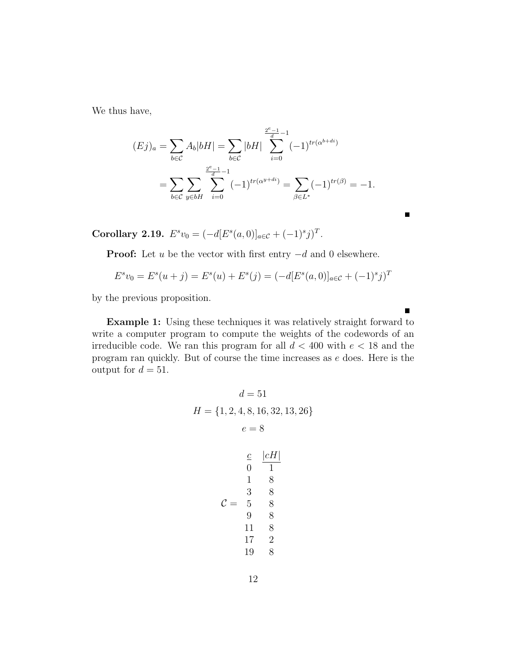We thus have,

$$
(Ej)_a = \sum_{b \in \mathcal{C}} A_b |bH| = \sum_{b \in \mathcal{C}} |bH| \sum_{i=0}^{\frac{2^e-1}{d}-1} (-1)^{tr(\alpha^{b+di})}
$$
  
= 
$$
\sum_{b \in \mathcal{C}} \sum_{y \in bH} \sum_{i=0}^{\frac{2^e-1}{d}-1} (-1)^{tr(\alpha^{y+di})} = \sum_{\beta \in L^*} (-1)^{tr(\beta)} = -1.
$$

Corollary 2.19.  $E^s v_0 = (-d[E^s(a, 0)]_{a \in \mathcal{C}} + (-1)^s j^T$ .

**Proof:** Let u be the vector with first entry  $-d$  and 0 elsewhere.

$$
E^s v_0 = E^s(u+j) = E^s(u) + E^s(j) = (-d[E^s(a, 0)]_{a \in \mathcal{C}} + (-1)^s j)^T
$$

by the previous proposition.

Example 1: Using these techniques it was relatively straight forward to write a computer program to compute the weights of the codewords of an irreducible code. We ran this program for all  $d < 400$  with  $e < 18$  and the program ran quickly. But of course the time increases as e does. Here is the output for  $d = 51$ .

$$
d = 51
$$
  
\n
$$
H = \{1, 2, 4, 8, 16, 32, 13, 26\}
$$
  
\n
$$
e = 8
$$
  
\n
$$
\frac{c}{0} \quad \frac{|cH|}{1}
$$
  
\n
$$
1 \quad 8
$$
  
\n
$$
C = 5 \quad 8
$$
  
\n
$$
9 \quad 8
$$
  
\n
$$
11 \quad 8
$$
  
\n
$$
17 \quad 2
$$
  
\n
$$
19 \quad 8
$$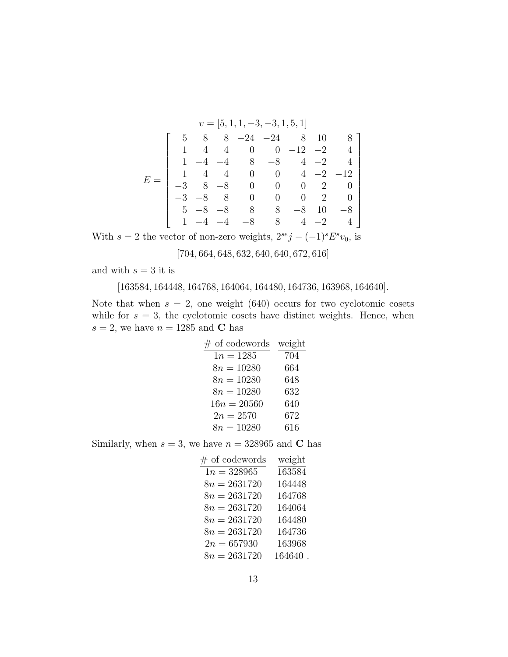|  |      |      |      |                | $v = [5, 1, 1, -3, -3, 1, 5, 1]$ |                |      |       |
|--|------|------|------|----------------|----------------------------------|----------------|------|-------|
|  |      |      | 8    |                | $-24$ $-24$                      | 8              | 10   |       |
|  |      |      |      |                | 0 0 $-12$ $-2$                   |                |      |       |
|  |      |      |      | $-4$ 8         | $-8$                             | $\overline{4}$ | $-2$ |       |
|  |      |      |      |                | $4 \quad 0 \quad 0 \quad 4$      |                | $-2$ | $-12$ |
|  |      |      | $-8$ | $\overline{0}$ | $\begin{matrix} 0 \end{matrix}$  | $\overline{0}$ |      |       |
|  | $-3$ | $-8$ |      | $\overline{0}$ |                                  | $0 -$          |      |       |
|  | 5    |      |      | 8              | 8                                | $-8$           | 10   | $-8$  |
|  |      |      |      | $-8$           | 8                                |                | $-2$ |       |

With  $s = 2$  the vector of non-zero weights,  $2^{se}j - (-1)^s E^s v_0$ , is

 $[704, 664, 648, 632, 640, 640, 672, 616]$ 

and with  $s = 3$  it is

[163584, 164448, 164768, 164064, 164480, 164736, 163968, 164640].

Note that when  $s = 2$ , one weight (640) occurs for two cyclotomic cosets while for  $s = 3$ , the cyclotomic cosets have distinct weights. Hence, when  $s = 2$ , we have  $n = 1285$  and C has

| $#$ of codewords | weight |
|------------------|--------|
| $1n = 1285$      | 704    |
| $8n = 10280$     | 664    |
| $8n = 10280$     | 648    |
| $8n = 10280$     | 632    |
| $16n = 20560$    | 640    |
| $2n = 2570$      | 672    |
| $8n = 10280$     | 616    |

Similarly, when  $s = 3$ , we have  $n = 328965$  and C has

| $\#$ of codewords | weight  |
|-------------------|---------|
| $1n = 328965$     | 163584  |
| $8n = 2631720$    | 164448  |
| $8n = 2631720$    | 164768  |
| $8n = 2631720$    | 164064  |
| $8n = 2631720$    | 164480  |
| $8n = 2631720$    | 164736  |
| $2n = 657930$     | 163968  |
| $8n = 2631720$    | 164640. |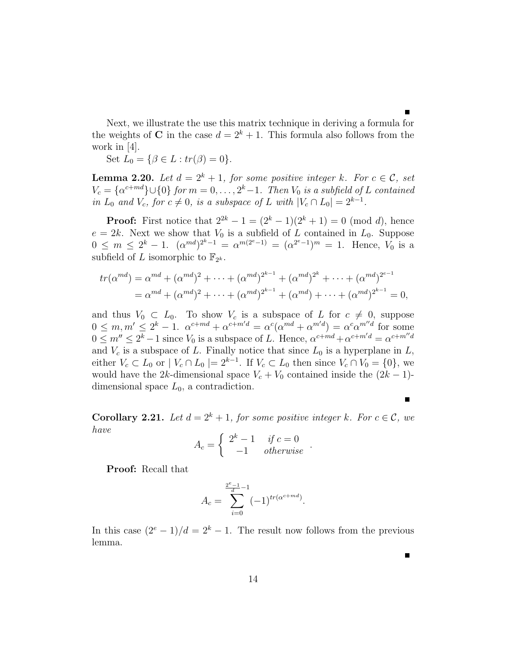Next, we illustrate the use this matrix technique in deriving a formula for the weights of C in the case  $d = 2^k + 1$ . This formula also follows from the work in [4].

Set  $L_0 = \{ \beta \in L : tr(\beta) = 0 \}.$ 

**Lemma 2.20.** Let  $d = 2^k + 1$ , for some positive integer k. For  $c \in \mathcal{C}$ , set  $V_c = \{\alpha^{c+md}\}\cup\{0\}$  for  $m = 0, \ldots, 2^k-1$ . Then  $V_0$  is a subfield of L contained in  $L_0$  and  $V_c$ , for  $c \neq 0$ , is a subspace of L with  $|V_c \cap L_0| = 2^{k-1}$ .

**Proof:** First notice that  $2^{2k} - 1 = (2^k - 1)(2^k + 1) = 0 \pmod{d}$ , hence  $e = 2k$ . Next we show that  $V_0$  is a subfield of L contained in  $L_0$ . Suppose  $0 \leq m \leq 2^{k} - 1.$   $(\alpha^{md})^{2^{k}-1} = \alpha^{m(2^{e}-1)} = (\alpha^{2^{e}-1})^{m} = 1.$  Hence,  $V_0$  is a subfield of L isomorphic to  $\mathbb{F}_{2^k}$ .

$$
tr(\alpha^{md}) = \alpha^{md} + (\alpha^{md})^2 + \dots + (\alpha^{md})^{2^{k-1}} + (\alpha^{md})^{2^k} + \dots + (\alpha^{md})^{2^{e-1}}
$$
  
=  $\alpha^{md} + (\alpha^{md})^2 + \dots + (\alpha^{md})^{2^{k-1}} + (\alpha^{md}) + \dots + (\alpha^{md})^{2^{k-1}} = 0,$ 

and thus  $V_0 \subset L_0$ . To show  $V_c$  is a subspace of L for  $c \neq 0$ , suppose  $0 \leq m, m' \leq 2^k - 1$ .  $\alpha^{c+md} + \alpha^{c+m'd} = \alpha^c(\alpha^{md} + \alpha^{m'd}) = \alpha^c\alpha^{m'd}$  for some  $0 \leq m'' \leq 2^k - 1$  since  $V_0$  is a subspace of L. Hence,  $\alpha^{c+md} + \alpha^{c+m'd} = \alpha^{c+m'd}$ and  $V_c$  is a subspace of L. Finally notice that since  $L_0$  is a hyperplane in  $L$ , either  $V_c \subset L_0$  or  $|V_c \cap L_0| = 2^{k-1}$ . If  $V_c \subset L_0$  then since  $V_c \cap V_0 = \{0\}$ , we would have the 2k-dimensional space  $V_c + V_0$  contained inside the  $(2k - 1)$ dimensional space  $L_0$ , a contradiction.

**Corollary 2.21.** Let  $d = 2^k + 1$ , for some positive integer k. For  $c \in \mathcal{C}$ , we have ½

$$
A_c = \begin{cases} 2^k - 1 & \text{if } c = 0 \\ -1 & \text{otherwise} \end{cases}.
$$

Proof: Recall that

$$
A_c = \sum_{i=0}^{\frac{2^e-1}{d}-1} (-1)^{tr(\alpha^{c+md})}.
$$

In this case  $(2^{e} - 1)/d = 2^{k} - 1$ . The result now follows from the previous lemma.

Г

г

14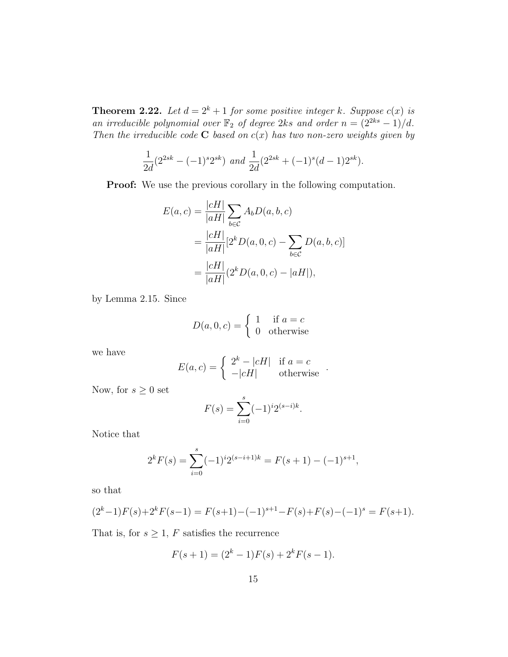**Theorem 2.22.** Let  $d = 2^k + 1$  for some positive integer k. Suppose  $c(x)$  is an irreducible polynomial over  $\mathbb{F}_2$  of degree 2ks and order  $n = (2^{2ks} - 1)/d$ . Then the irreducible code **C** based on  $c(x)$  has two non-zero weights given by

$$
\frac{1}{2d}(2^{2sk} - (-1)^s 2^{sk}) \ and \ \frac{1}{2d}(2^{2sk} + (-1)^s (d-1) 2^{sk}).
$$

Proof: We use the previous corollary in the following computation.

$$
E(a,c) = \frac{|cH|}{|aH|} \sum_{b \in C} A_b D(a,b,c)
$$
  
= 
$$
\frac{|cH|}{|aH|} [2^k D(a,0,c) - \sum_{b \in C} D(a,b,c)]
$$
  
= 
$$
\frac{|cH|}{|aH|} (2^k D(a,0,c) - |aH|),
$$

by Lemma 2.15. Since

$$
D(a, 0, c) = \begin{cases} 1 & \text{if } a = c \\ 0 & \text{otherwise} \end{cases}
$$

we have

$$
E(a, c) = \begin{cases} 2k - |cH| & \text{if } a = c \\ -|cH| & \text{otherwise} \end{cases}.
$$

Now, for  $s\geq 0$  set

$$
F(s) = \sum_{i=0}^{s} (-1)^i 2^{(s-i)k}.
$$

Notice that

$$
2^{k}F(s) = \sum_{i=0}^{s} (-1)^{i} 2^{(s-i+1)k} = F(s+1) - (-1)^{s+1},
$$

so that

$$
(2k-1)F(s)+2kF(s-1) = F(s+1)-(-1)s+1-F(s)+F(s)-(-1)s = F(s+1).
$$

That is, for  $s\geq 1,\,F$  satisfies the recurrence

$$
F(s + 1) = (2k – 1)F(s) + 2kF(s – 1).
$$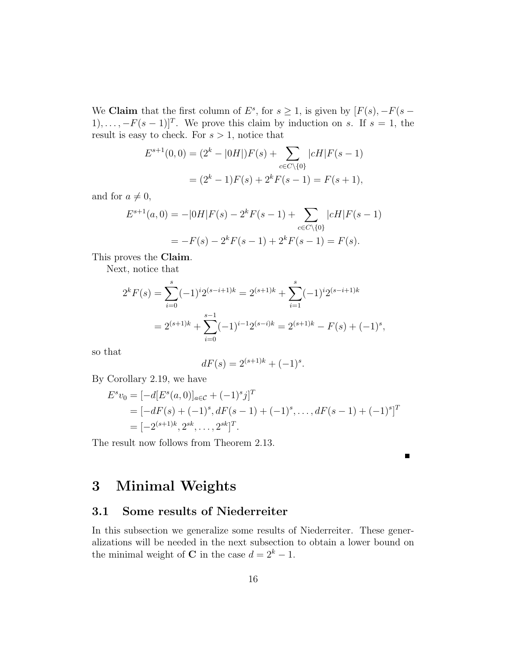We **Claim** that the first column of  $E^s$ , for  $s \geq 1$ , is given by  $[F(s), -F(s (1), \ldots, -F(s-1)$ <sup>T</sup>. We prove this claim by induction on s. If  $s = 1$ , the result is easy to check. For  $s > 1$ , notice that

$$
E^{s+1}(0,0) = (2^k - |0H|)F(s) + \sum_{c \in C \setminus \{0\}} |cH|F(s-1)
$$
  
=  $(2^k - 1)F(s) + 2^k F(s-1) = F(s+1),$ 

and for  $a \neq 0$ ,

$$
E^{s+1}(a,0) = -|0H|F(s) - 2^k F(s-1) + \sum_{c \in C \setminus \{0\}} |cH|F(s-1)
$$
  
=  $-F(s) - 2^k F(s-1) + 2^k F(s-1) = F(s).$ 

This proves the Claim.

Next, notice that

$$
2^{k} F(s) = \sum_{i=0}^{s} (-1)^{i} 2^{(s-i+1)k} = 2^{(s+1)k} + \sum_{i=1}^{s} (-1)^{i} 2^{(s-i+1)k}
$$
  
= 
$$
2^{(s+1)k} + \sum_{i=0}^{s-1} (-1)^{i-1} 2^{(s-i)k} = 2^{(s+1)k} - F(s) + (-1)^{s},
$$

so that

$$
dF(s) = 2^{(s+1)k} + (-1)^s.
$$

By Corollary 2.19, we have

$$
E^s v_0 = [-d[E^s(a, 0)]_{a \in C} + (-1)^s j]^T
$$
  
=  $[-dF(s) + (-1)^s, dF(s - 1) + (-1)^s, ..., dF(s - 1) + (-1)^s]^T$   
=  $[-2^{(s+1)k}, 2^{sk}, ..., 2^{sk}]^T$ .

Г

The result now follows from Theorem 2.13.

# 3 Minimal Weights

## 3.1 Some results of Niederreiter

In this subsection we generalize some results of Niederreiter. These generalizations will be needed in the next subsection to obtain a lower bound on the minimal weight of **C** in the case  $d = 2<sup>k</sup> - 1$ .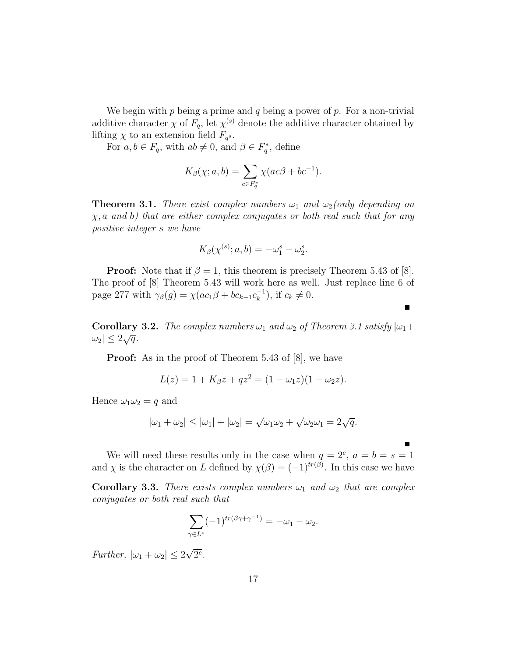We begin with  $p$  being a prime and  $q$  being a power of  $p$ . For a non-trivial additive character  $\chi$  of  $F_q$ , let  $\chi^{(s)}$  denote the additive character obtained by lifting  $\chi$  to an extension field  $F_{q^s}$ .

For  $a, b \in F_q$ , with  $ab \neq 0$ , and  $\beta \in F_q^*$ , define

$$
K_{\beta}(\chi; a, b) = \sum_{c \in F_q^*} \chi(ac\beta + bc^{-1}).
$$

**Theorem 3.1.** There exist complex numbers  $\omega_1$  and  $\omega_2$  (only depending on  $\chi$ , a and b) that are either complex conjugates or both real such that for any positive integer s we have

$$
K_{\beta}(\chi^{(s)};a,b) = -\omega_1^s - \omega_2^s.
$$

**Proof:** Note that if  $\beta = 1$ , this theorem is precisely Theorem 5.43 of [8]. The proof of [8] Theorem 5.43 will work here as well. Just replace line 6 of page 277 with  $\gamma_\beta(g) = \chi(ac_1\beta + bc_{k-1}c_k^{-1})$  $\binom{-1}{k}$ , if  $c_k \neq 0$ .

 $\blacksquare$ 

**Corollary 3.2.** The complex numbers  $\omega_1$  and  $\omega_2$  of Theorem 3.1 satisfy  $|\omega_1 + \omega_2|$  $|\omega_2| \leq 2\sqrt{q}.$ 

**Proof:** As in the proof of Theorem 5.43 of [8], we have

$$
L(z) = 1 + K_{\beta}z + qz^{2} = (1 - \omega_{1}z)(1 - \omega_{2}z).
$$

Hence  $\omega_1\omega_2 = q$  and

$$
|\omega_1 + \omega_2| \le |\omega_1| + |\omega_2| = \sqrt{\omega_1 \omega_2} + \sqrt{\omega_2 \omega_1} = 2\sqrt{q}.
$$

We will need these results only in the case when  $q = 2^e$ ,  $a = b = s = 1$ and  $\chi$  is the character on L defined by  $\chi(\beta) = (-1)^{tr(\beta)}$ . In this case we have

Corollary 3.3. There exists complex numbers  $\omega_1$  and  $\omega_2$  that are complex conjugates or both real such that

$$
\sum_{\gamma \in L^*} (-1)^{tr(\beta \gamma + \gamma^{-1})} = -\omega_1 - \omega_2.
$$

Further,  $|\omega_1 + \omega_2| \leq 2$ √  $\overline{2^e}.$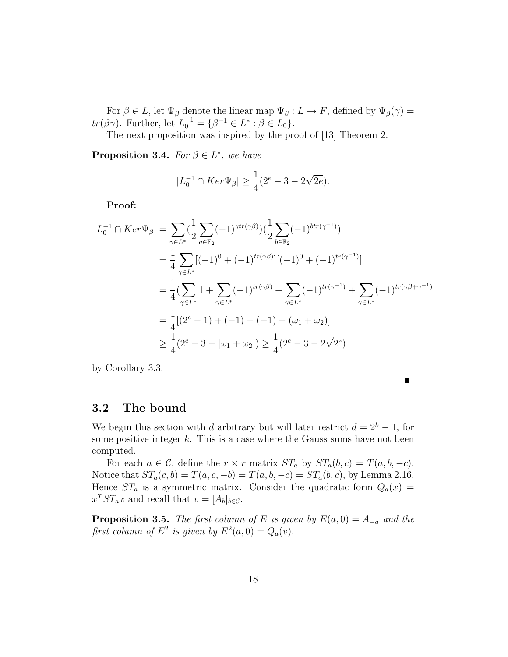For  $\beta \in L$ , let  $\Psi_{\beta}$  denote the linear map  $\Psi_{\beta}: L \to F$ , defined by  $\Psi_{\beta}(\gamma) =$ tr( $\beta \gamma$ ). Further, let  $L_0^{-1} = {\beta^{-1} \in L^* : \beta \in L_0}.$ 

The next proposition was inspired by the proof of [13] Theorem 2.

**Proposition 3.4.** For  $\beta \in L^*$ , we have

$$
|L_0^{-1} \cap Ker \Psi_{\beta}| \ge \frac{1}{4}(2^e - 3 - 2\sqrt{2e}).
$$

Proof:

$$
|L_0^{-1} \cap Ker \Psi_{\beta}| = \sum_{\gamma \in L^*} (\frac{1}{2} \sum_{a \in \mathbb{F}_2} (-1)^{\gamma tr(\gamma \beta)}) (\frac{1}{2} \sum_{b \in \mathbb{F}_2} (-1)^{b tr(\gamma^{-1})})
$$
  
\n
$$
= \frac{1}{4} \sum_{\gamma \in L^*} [(-1)^0 + (-1)^{tr(\gamma \beta)}] [(-1)^0 + (-1)^{tr(\gamma^{-1})}]
$$
  
\n
$$
= \frac{1}{4} (\sum_{\gamma \in L^*} 1 + \sum_{\gamma \in L^*} (-1)^{tr(\gamma \beta)} + \sum_{\gamma \in L^*} (-1)^{tr(\gamma^{-1})} + \sum_{\gamma \in L^*} (-1)^{tr(\gamma \beta + \gamma^{-1})}
$$
  
\n
$$
= \frac{1}{4} [(2^e - 1) + (-1) + (-1) - (\omega_1 + \omega_2)]
$$
  
\n
$$
\geq \frac{1}{4} (2^e - 3 - |\omega_1 + \omega_2|) \geq \frac{1}{4} (2^e - 3 - 2\sqrt{2^e})
$$

by Corollary 3.3.

Е

### 3.2 The bound

We begin this section with d arbitrary but will later restrict  $d = 2<sup>k</sup> - 1$ , for some positive integer  $k$ . This is a case where the Gauss sums have not been computed.

For each  $a \in \mathcal{C}$ , define the  $r \times r$  matrix  $ST_a$  by  $ST_a(b, c) = T(a, b, -c)$ . Notice that  $ST_a(c, b) = T(a, c, -b) = T(a, b, -c) = ST_a(b, c)$ , by Lemma 2.16. Hence  $ST_a$  is a symmetric matrix. Consider the quadratic form  $Q_a(x)$  =  $x^T S T_a x$  and recall that  $v = [A_b]_{b \in \mathcal{C}}$ .

**Proposition 3.5.** The first column of E is given by  $E(a, 0) = A_{-a}$  and the first column of  $E^2$  is given by  $E^2(a,0) = Q_a(v)$ .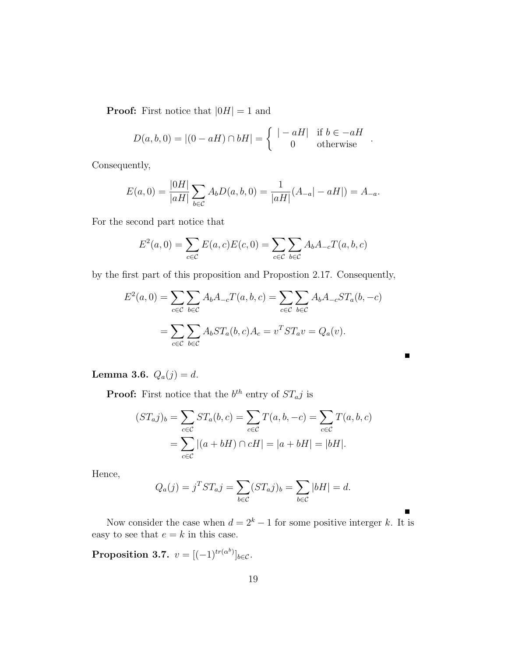**Proof:** First notice that  $|0H| = 1$  and

$$
D(a, b, 0) = |(0 - aH) \cap bH| = \begin{cases} | - aH| & \text{if } b \in -aH \\ 0 & \text{otherwise} \end{cases}.
$$

Consequently,

$$
E(a,0) = \frac{|0H|}{|aH|} \sum_{b \in C} A_b D(a,b,0) = \frac{1}{|aH|} (A_{-a}|-aH|) = A_{-a}.
$$

For the second part notice that

$$
E^{2}(a, 0) = \sum_{c \in C} E(a, c)E(c, 0) = \sum_{c \in C} \sum_{b \in C} A_{b}A_{-c}T(a, b, c)
$$

by the first part of this proposition and Propostion 2.17. Consequently,

$$
E^2(a,0) = \sum_{c \in \mathcal{C}} \sum_{b \in \mathcal{C}} A_b A_{-c} T(a,b,c) = \sum_{c \in \mathcal{C}} \sum_{b \in \mathcal{C}} A_b A_{-c} S T_a(b,-c)
$$
  
= 
$$
\sum_{c \in \mathcal{C}} \sum_{b \in \mathcal{C}} A_b S T_a(b,c) A_c = v^T S T_a v = Q_a(v).
$$

П

**Lemma 3.6.**  $Q_a(j) = d$ .

**Proof:** First notice that the  $b^{th}$  entry of  $ST_a j$  is

$$
(ST_a j)_b = \sum_{c \in C} ST_a(b, c) = \sum_{c \in C} T(a, b, -c) = \sum_{c \in C} T(a, b, c)
$$
  
= 
$$
\sum_{c \in C} |(a + bH) \cap cH| = |a + bH| = |bH|.
$$

Hence,

$$
Q_a(j) = j^T S T_a j = \sum_{b \in \mathcal{C}} (S T_a j)_b = \sum_{b \in \mathcal{C}} |bH| = d.
$$

Now consider the case when  $d = 2<sup>k</sup> - 1$  for some positive interger k. It is easy to see that  $e = k$  in this case.

Proposition 3.7.  $v = [(-1)^{tr(\alpha^b)}]_{b \in \mathcal{C}}$ .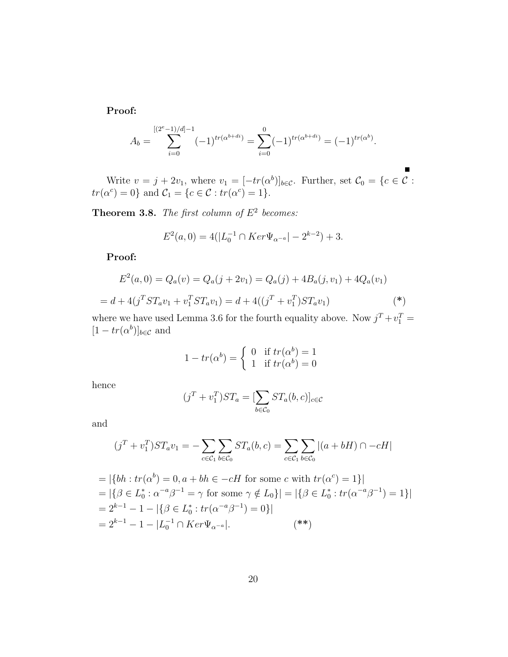Proof:

$$
A_b = \sum_{i=0}^{[(2^e-1)/d]-1} (-1)^{tr(\alpha^{b+di})} = \sum_{i=0}^{0} (-1)^{tr(\alpha^{b+di})} = (-1)^{tr(\alpha^b)}.
$$

Write  $v = j + 2v_1$ , where  $v_1 = [-tr(\alpha^b)]_{b \in \mathcal{C}}$ . Further, set  $\mathcal{C}_0 = \{c \in \mathcal{C}$ :  $tr(\alpha^c) = 0$ } and  $\mathcal{C}_1 = \{c \in \mathcal{C} : tr(\alpha^c) = 1\}.$ 

**Theorem 3.8.** The first column of  $E^2$  becomes:

$$
E^{2}(a, 0) = 4(|L_{0}^{-1} \cap Ker \Psi_{\alpha^{-a}}| - 2^{k-2}) + 3.
$$

Proof:

$$
E^{2}(a, 0) = Q_{a}(v) = Q_{a}(j + 2v_{1}) = Q_{a}(j) + 4B_{a}(j, v_{1}) + 4Q_{a}(v_{1})
$$

$$
= d + 4(j^{T}ST_{a}v_{1} + v_{1}^{T}ST_{a}v_{1}) = d + 4((j^{T} + v_{1}^{T})ST_{a}v_{1})
$$
(\*)

where we have used Lemma 3.6 for the fourth equality above. Now  $j^T + v_1^T =$  $[1 - tr(\alpha^b)]_{b \in \mathcal{C}}$  and

$$
1 - tr(\alpha^b) = \begin{cases} 0 & \text{if } tr(\alpha^b) = 1 \\ 1 & \text{if } tr(\alpha^b) = 0 \end{cases}
$$

hence

$$
(jT + v1T)STa = [\sum_{b \in C_0} STa(b, c)]c \in C
$$

and

$$
(jT + v1T)STav1 = -\sum_{c \in C_1} \sum_{b \in C_0} ST_a(b, c) = \sum_{c \in C_1} \sum_{b \in C_0} |(a + bH) \cap -cH|
$$

= 
$$
|\{bh : tr(\alpha^b) = 0, a + bh \in -cH \text{ for some } c \text{ with } tr(\alpha^c) = 1\}|
$$
  
\n=  $|\{\beta \in L_0^*: \alpha^{-a}\beta^{-1} = \gamma \text{ for some } \gamma \notin L_0\}| = |\{\beta \in L_0^*: tr(\alpha^{-a}\beta^{-1}) = 1\}|$   
\n=  $2^{k-1} - 1 - |\{\beta \in L_0^*: tr(\alpha^{-a}\beta^{-1}) = 0\}|$   
\n=  $2^{k-1} - 1 - |L_0^{-1} \cap Ker \Psi_{\alpha^{-a}}|$ . (\*)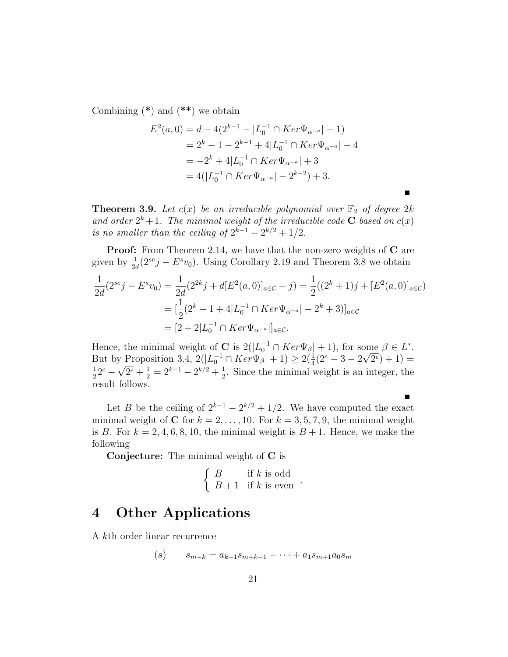Combining  $(*)$  and  $(**)$  we obtain

$$
E^{2}(a, 0) = d - 4(2^{k-1} - |L_{0}^{-1} \cap Ker \Psi_{\alpha^{-a}}| - 1)
$$
  
= 2^{k} - 1 - 2^{k+1} + 4|L\_{0}^{-1} \cap Ker \Psi\_{\alpha^{-a}}| + 4  
= -2^{k} + 4|L\_{0}^{-1} \cap Ker \Psi\_{\alpha^{-a}}| + 3  
= 4(|L\_{0}^{-1} \cap Ker \Psi\_{\alpha^{-a}}| - 2^{k-2}) + 3.

**Theorem 3.9.** Let  $c(x)$  be an irreducible polynomial over  $\mathbb{F}_2$  of degree 2k and order  $2^k + 1$ . The minimal weight of the irreducible code **C** based on  $c(x)$ is no smaller than the ceiling of  $2^{k-1} - 2^{k/2} + 1/2$ .

**Proof:** From Theorem 2.14, we have that the non-zero weights of **C** are given by  $\frac{1}{2d}(2^{se}j - E^s v_0)$ . Using Corollary 2.19 and Theorem 3.8 we obtain

$$
\frac{1}{2d}(2^{se}j - E^s v_0) = \frac{1}{2d}(2^{2k}j + d[E^2(a, 0)]_{a \in C} - j) = \frac{1}{2}((2^k + 1)j + [E^2(a, 0)]_{a \in C})
$$

$$
= [\frac{1}{2}(2^k + 1 + 4|L_0^{-1} \cap Ker \Psi_{\alpha^{-a}}| - 2^k + 3)]_{a \in C}
$$

$$
= [2 + 2|L_0^{-1} \cap Ker \Psi_{\alpha^{-a}}|]_{a \in C}.
$$

Hence, the minimal weight of **C** is  $2(|L_0^{-1} \cap Ker \Psi_{\beta}| + 1)$ , for some  $\beta \in L^*$ . But by Proposition 3.4,  $2(|L_0^{-1} \cap Ker \Psi_{\beta}| + 1) \geq 2(\frac{1}{4}(2^e - 3 - 2))$ √  $(2^e) + 1 =$ 1  $\frac{1}{2}2^e$  – √  $2^e + \frac{1}{2} = 2^{k-1} - 2^{k/2} + \frac{1}{2}$  $\frac{1}{2}$ . Since the minimal weight is an integer, the result follows.

Let B be the ceiling of  $2^{k-1} - 2^{k/2} + 1/2$ . We have computed the exact minimal weight of C for  $k = 2, \ldots, 10$ . For  $k = 3, 5, 7, 9$ , the minimal weight is B. For  $k = 2, 4, 6, 8, 10$ , the minimal weight is  $B + 1$ . Hence, we make the following

Conjecture: The minimal weight of C is

$$
\left\{\n \begin{array}{ll}\n B & \text{if } k \text{ is odd} \\
B+1 & \text{if } k \text{ is even}\n \end{array}\n\right..
$$

## 4 Other Applications

A kth order linear recurrence

$$
(s) \qquad s_{m+k} = a_{k-1}s_{m+k-1} + \cdots + a_1s_{m+1}a_0s_m
$$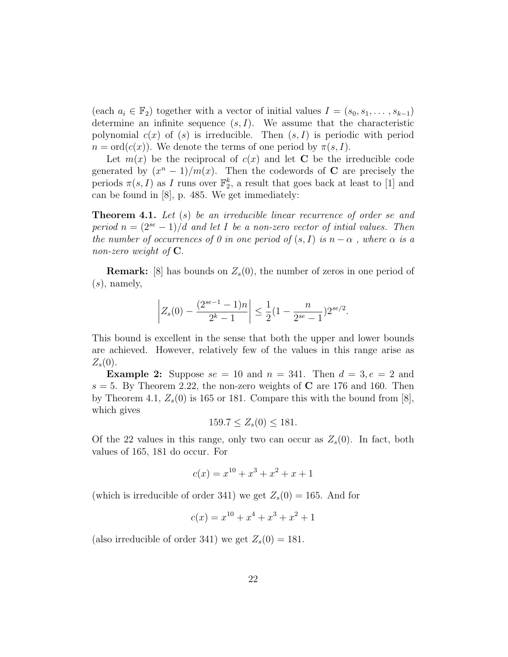(each  $a_i \in \mathbb{F}_2$ ) together with a vector of initial values  $I = (s_0, s_1, \ldots, s_{k-1})$ determine an infinite sequence  $(s, I)$ . We assume that the characteristic polynomial  $c(x)$  of  $(s)$  is irreducible. Then  $(s, I)$  is periodic with period  $n = \text{ord}(c(x))$ . We denote the terms of one period by  $\pi(s, I)$ .

Let  $m(x)$  be the reciprocal of  $c(x)$  and let C be the irreducible code generated by  $(x^{n} - 1)/m(x)$ . Then the codewords of **C** are precisely the periods  $\pi(s, I)$  as I runs over  $\mathbb{F}_2^k$ , a result that goes back at least to [1] and can be found in [8], p. 485. We get immediately:

**Theorem 4.1.** Let (s) be an irreducible linear recurrence of order se and period  $n = (2^{se} - 1)/d$  and let I be a non-zero vector of initial values. Then the number of occurrences of 0 in one period of  $(s, I)$  is  $n - \alpha$ , where  $\alpha$  is a non-zero weight of C.

**Remark:** [8] has bounds on  $Z_s(0)$ , the number of zeros in one period of  $(s)$ , namely,

$$
\left| Z_s(0) - \frac{(2^{se-1} - 1)n}{2^k - 1} \right| \le \frac{1}{2} (1 - \frac{n}{2^{se} - 1}) 2^{se/2}.
$$

This bound is excellent in the sense that both the upper and lower bounds are achieved. However, relatively few of the values in this range arise as  $Z_s(0)$ .

**Example 2:** Suppose  $se = 10$  and  $n = 341$ . Then  $d = 3, e = 2$  and  $s = 5$ . By Theorem 2.22, the non-zero weights of C are 176 and 160. Then by Theorem 4.1,  $Z_s(0)$  is 165 or 181. Compare this with the bound from [8], which gives

$$
159.7 \le Z_s(0) \le 181.
$$

Of the 22 values in this range, only two can occur as  $Z_s(0)$ . In fact, both values of 165, 181 do occur. For

$$
c(x) = x^{10} + x^3 + x^2 + x + 1
$$

(which is irreducible of order 341) we get  $Z_s(0) = 165$ . And for

$$
c(x) = x^{10} + x^4 + x^3 + x^2 + 1
$$

(also irreducible of order 341) we get  $Z_s(0) = 181$ .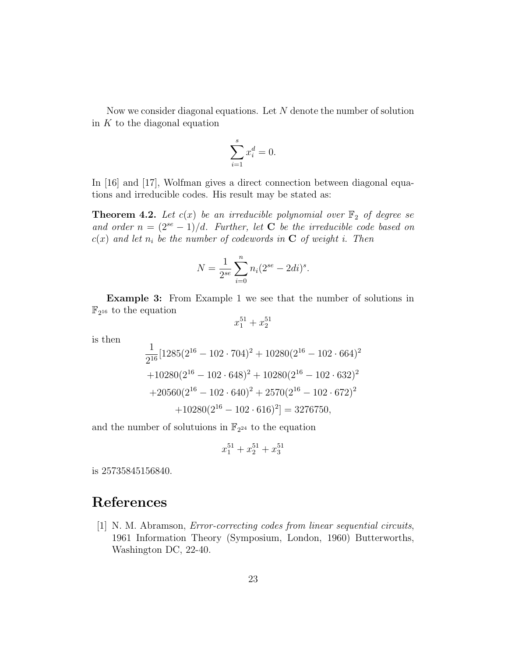Now we consider diagonal equations. Let N denote the number of solution in  $K$  to the diagonal equation

$$
\sum_{i=1}^{s} x_i^d = 0.
$$

In [16] and [17], Wolfman gives a direct connection between diagonal equations and irreducible codes. His result may be stated as:

**Theorem 4.2.** Let  $c(x)$  be an irreducible polynomial over  $\mathbb{F}_2$  of degree se and order  $n = (2^{se} - 1)/d$ . Further, let **C** be the irreducible code based on  $c(x)$  and let  $n_i$  be the number of codewords in **C** of weight i. Then

$$
N = \frac{1}{2^{se}} \sum_{i=0}^{n} n_i (2^{se} - 2di)^s.
$$

**Example 3:** From Example 1 we see that the number of solutions in  $\mathbb{F}_{2^{16}}$  to the equation

$$
x_1^{51} + x_2^{51}
$$

is then

$$
\frac{1}{2^{16}}[1285(2^{16} - 102 \cdot 704)^2 + 10280(2^{16} - 102 \cdot 664)^2
$$
  
+10280(2<sup>16</sup> - 102 \cdot 648)<sup>2</sup> + 10280(2<sup>16</sup> - 102 \cdot 632)<sup>2</sup>  
+20560(2<sup>16</sup> - 102 \cdot 640)<sup>2</sup> + 2570(2<sup>16</sup> - 102 \cdot 672)<sup>2</sup>  
+10280(2<sup>16</sup> - 102 \cdot 616)<sup>2</sup>] = 3276750,

and the number of solutuions in  $\mathbb{F}_{2^{24}}$  to the equation

$$
x_1^{51} + x_2^{51} + x_3^{51}
$$

is 25735845156840.

# References

[1] N. M. Abramson, Error-correcting codes from linear sequential circuits, 1961 Information Theory (Symposium, London, 1960) Butterworths, Washington DC, 22-40.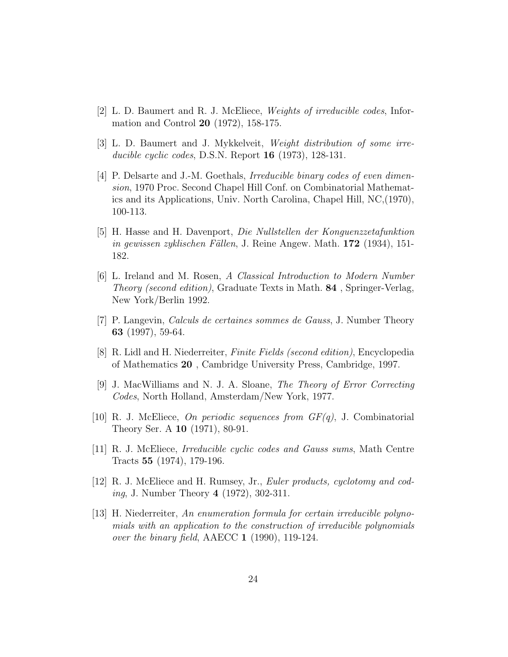- [2] L. D. Baumert and R. J. McEliece, Weights of irreducible codes, Information and Control 20 (1972), 158-175.
- [3] L. D. Baumert and J. Mykkelveit, Weight distribution of some irreducible cyclic codes, D.S.N. Report 16 (1973), 128-131.
- [4] P. Delsarte and J.-M. Goethals, Irreducible binary codes of even dimension, 1970 Proc. Second Chapel Hill Conf. on Combinatorial Mathematics and its Applications, Univ. North Carolina, Chapel Hill, NC,(1970), 100-113.
- [5] H. Hasse and H. Davenport, Die Nullstellen der Konguenzzetafunktion in gewissen zyklischen Fällen, J. Reine Angew. Math. 172 (1934), 151-182.
- [6] L. Ireland and M. Rosen, A Classical Introduction to Modern Number Theory (second edition), Graduate Texts in Math. 84 , Springer-Verlag, New York/Berlin 1992.
- [7] P. Langevin, Calculs de certaines sommes de Gauss, J. Number Theory 63 (1997), 59-64.
- [8] R. Lidl and H. Niederreiter, Finite Fields (second edition), Encyclopedia of Mathematics 20 , Cambridge University Press, Cambridge, 1997.
- [9] J. MacWilliams and N. J. A. Sloane, The Theory of Error Correcting Codes, North Holland, Amsterdam/New York, 1977.
- [10] R. J. McEliece, On periodic sequences from  $GF(q)$ , J. Combinatorial Theory Ser. A 10 (1971), 80-91.
- [11] R. J. McEliece, Irreducible cyclic codes and Gauss sums, Math Centre Tracts 55 (1974), 179-196.
- [12] R. J. McEliece and H. Rumsey, Jr., Euler products, cyclotomy and coding, J. Number Theory 4 (1972), 302-311.
- [13] H. Niederreiter, An enumeration formula for certain irreducible polynomials with an application to the construction of irreducible polynomials over the binary field, AAECC 1 (1990), 119-124.